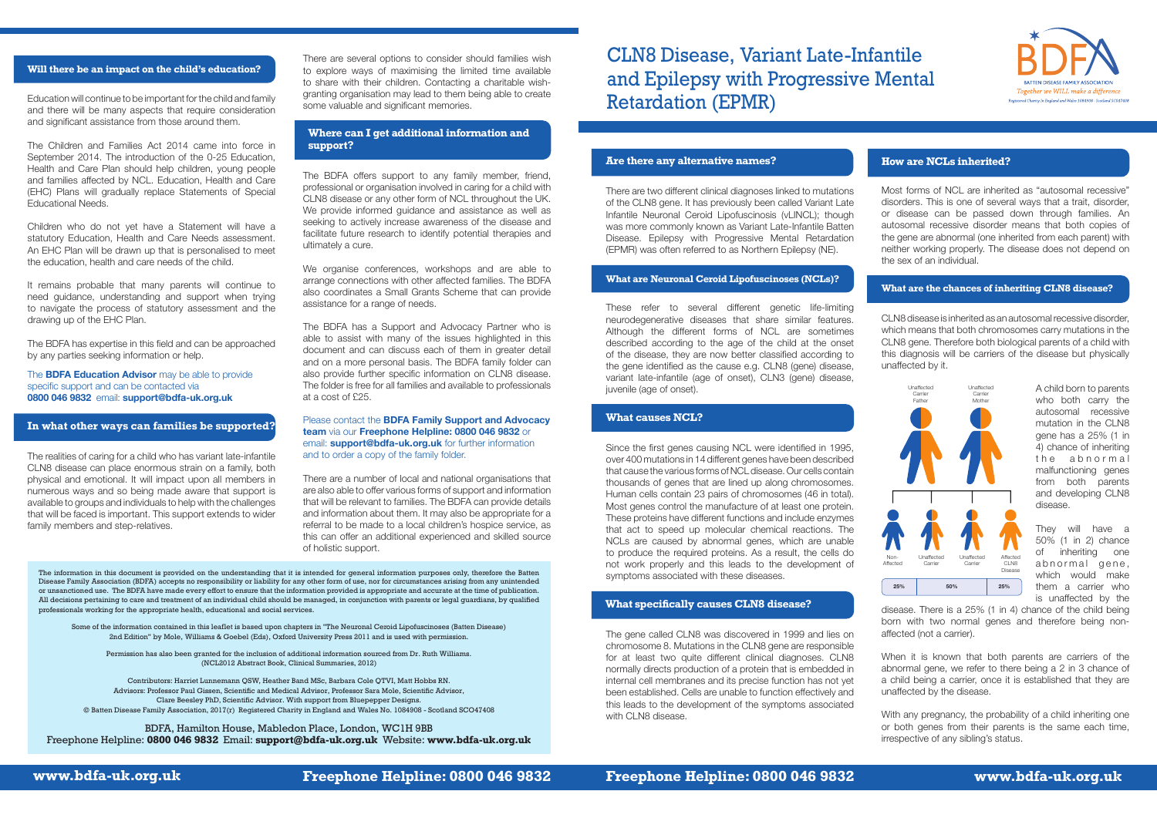**www.bdfa-uk.org.uk Freephone Helpline: 0800 046 9832 Freephone Helpline: 0800 046 9832 www.bdfa-uk.org.uk**



CLN8 Disease, Variant Late-Infantile and Epilepsy with Progressive Mental Retardation (EPMR)

#### **Are there any alternative names? How are NCLs inherited?**

The information in this document is provided on the understanding that it is intended for general information purposes only, therefore the Batten Disease Family Association (BDFA) accepts no responsibility or liability for any other form of use, nor for circumstances arising from any unintended or unsanctioned use. The BDFA have made every effort to ensure that the information provided is appropriate and accurate at the time of publication. All decisions pertaining to care and treatment of an individual child should be managed, in conjunction with parents or legal guardians, by qualified professionals working for the appropriate health, educational and social services.

Some of the information contained in this leaflet is based upon chapters in "The Neuronal Ceroid Lipofuscinoses (Batten Disease) 2nd Edition" by Mole, Williams & Goebel (Eds), Oxford University Press 2011 and is used with permission.

Permission has also been granted for the inclusion of additional information sourced from Dr. Ruth Williams. (NCL2012 Abstract Book, Clinical Summaries, 2012)

Contributors: Harriet Lunnemann QSW, Heather Band MSc, Barbara Cole QTVI, Matt Hobbs RN. Advisors: Professor Paul Gissen, Scientific and Medical Advisor, Professor Sara Mole, Scientific Advisor, Clare Beesley PhD, Scientific Advisor. With support from Bluepepper Designs. © Batten Disease Family Association, 2017(r) Registered Charity in England and Wales No. 1084908 - Scotland SCO47408

BDFA, Hamilton House, Mabledon Place, London, WC1H 9BB Freephone Helpline: **0800 046 9832** Email: **support@bdfa-uk.org.uk** Website: **www.bdfa-uk.org.uk**

### **Will there be an impact on the child's education?**

## **In what other ways can families be supported?**

There are two different clinical diagnoses linked to mutations of the CLN8 gene. It has previously been called Variant Late Infantile Neuronal Ceroid Lipofuscinosis (vLINCL); though was more commonly known as Variant Late-Infantile Batten Disease. Epilepsy with Progressive Mental Retardation (EPMR) was often referred to as Northern Epilepsy (NE).

These refer to several different genetic life-limiting neurodegenerative diseases that share similar features. Although the different forms of NCL are sometimes described according to the age of the child at the onset of the disease, they are now better classified according to the gene identified as the cause e.g. CLN8 (gene) disease, variant late-infantile (age of onset), CLN3 (gene) disease, juvenile (age of onset).

Since the first genes causing NCL were identified in 1995, over 400 mutations in 14 different genes have been described that cause the various forms of NCL disease. Our cells contain thousands of genes that are lined up along chromosomes. Human cells contain 23 pairs of chromosomes (46 in total). Most genes control the manufacture of at least one protein. These proteins have different functions and include enzymes that act to speed up molecular chemical reactions. The NCLs are caused by abnormal genes, which are unable to produce the required proteins. As a result, the cells do not work properly and this leads to the development of symptoms associated with these diseases.

The gene called CLN8 was discovered in 1999 and lies on chromosome 8. Mutations in the CLN8 gene are responsible for at least two quite different clinical diagnoses. CLN8 normally directs production of a protein that is embedded in internal cell membranes and its precise function has not yet been established. Cells are unable to function effectively and this leads to the development of the symptoms associated with CLN8 disease.

Most forms of NCL are inherited as "autosomal recessive" disorders. This is one of several ways that a trait, disorder, or disease can be passed down through families. An autosomal recessive disorder means that both copies of the gene are abnormal (one inherited from each parent) with neither working properly. The disease does not depend on the sex of an individual.

CLN8 disease is inherited as an autosomal recessive disorder, which means that both chromosomes carry mutations in the CLN8 gene. Therefore both biological parents of a child with this diagnosis will be carriers of the disease but physically unaffected by it.

> A child born to parents who both carry the autosomal recessive mutation in the CLN8 gene has a 25% (1 in 4) chance of inheriting the abnormal malfunctioning genes from both parents and developing CLN8 disease.

> They will have a 50% (1 in 2) chance of inheriting one abnormal gene, which would make them a carrier who is unaffected by the

disease. There is a 25% (1 in 4) chance of the child being born with two normal genes and therefore being nonaffected (not a carrier).

When it is known that both parents are carriers of the abnormal gene, we refer to there being a 2 in 3 chance of a child being a carrier, once it is established that they are unaffected by the disease.

With any pregnancy, the probability of a child inheriting one or both genes from their parents is the same each time, irrespective of any sibling's status.

#### **What are Neuronal Ceroid Lipofuscinoses (NCLs)?**

## **What specifically causes CLN8 disease?**



Education will continue to be important for the child and family and there will be many aspects that require consideration and significant assistance from those around them.

The Children and Families Act 2014 came into force in September 2014. The introduction of the 0-25 Education, Health and Care Plan should help children, young people and families affected by NCL. Education, Health and Care (EHC) Plans will gradually replace Statements of Special Educational Needs.

Children who do not yet have a Statement will have a statutory Education, Health and Care Needs assessment. An EHC Plan will be drawn up that is personalised to meet the education, health and care needs of the child.

It remains probable that many parents will continue to need guidance, understanding and support when trying to navigate the process of statutory assessment and the drawing up of the EHC Plan.

The BDFA has expertise in this field and can be approached by any parties seeking information or help.

The **BDFA Education Advisor** may be able to provide specific support and can be contacted via **0800 046 9832** email: **support@bdfa-uk.org.uk**

The realities of caring for a child who has variant late-infantile CLN8 disease can place enormous strain on a family, both physical and emotional. It will impact upon all members in numerous ways and so being made aware that support is available to groups and individuals to help with the challenges that will be faced is important. This support extends to wider family members and step-relatives.

There are several options to consider should families wish to explore ways of maximising the limited time available to share with their children. Contacting a charitable wishgranting organisation may lead to them being able to create some valuable and significant memories.

The BDFA offers support to any family member, friend, professional or organisation involved in caring for a child with CLN8 disease or any other form of NCL throughout the UK. We provide informed guidance and assistance as well as seeking to actively increase awareness of the disease and facilitate future research to identify potential therapies and ultimately a cure.

We organise conferences, workshops and are able to arrange connections with other affected families. The BDFA also coordinates a Small Grants Scheme that can provide assistance for a range of needs.

The BDFA has a Support and Advocacy Partner who is able to assist with many of the issues highlighted in this document and can discuss each of them in greater detail and on a more personal basis. The BDFA family folder can also provide further specific information on CLN8 disease. The folder is free for all families and available to professionals at a cost of £25.

#### Please contact the **BDFA Family Support and Advocacy team** via our **Freephone Helpline: 0800 046 9832** or email: **support@bdfa-uk.org.uk** for further information and to order a copy of the family folder.

There are a number of local and national organisations that are also able to offer various forms of support and information that will be relevant to families. The BDFA can provide details and information about them. It may also be appropriate for a referral to be made to a local children's hospice service, as this can offer an additional experienced and skilled source of holistic support.

## **What causes NCL?**

### **What are the chances of inheriting CLN8 disease?**

# **Where can I get additional information and support?**